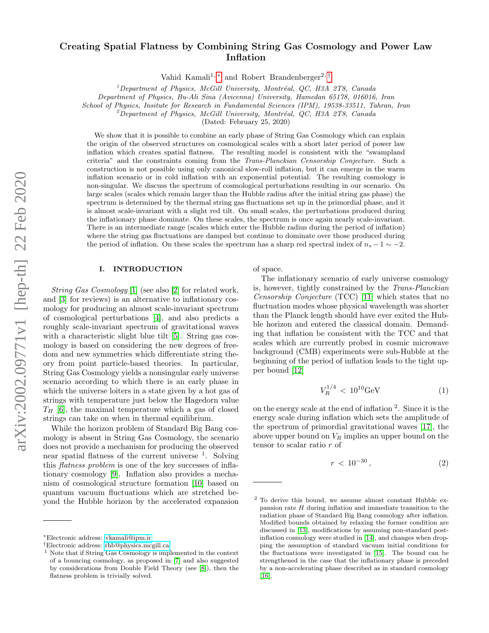# Creating Spatial Flatness by Combining String Gas Cosmology and Power Law Inflation

Vahid Kamali<sup>1,\*</sup> and Robert Brandenberger<sup>2,[†](#page-0-1)</sup>

 $1$ Department of Physics, McGill University, Montréal, QC, H3A 2T8, Canada

Department of Physics, Bu-Ali Sina (Avicenna) University, Hamedan 65178, 016016, Iran

School of Physics, Insitute for Research in Fundamental Sciences (IPM), 19538-33511, Tahran, Iran

<sup>2</sup>Department of Physics, McGill University, Montréal, QC, H3A 2T8, Canada

(Dated: February 25, 2020)

We show that it is possible to combine an early phase of String Gas Cosmology which can explain the origin of the observed structures on cosmological scales with a short later period of power law inflation which creates spatial flatness. The resulting model is consistent with the "swampland criteria" and the constraints coming from the Trans-Planckian Censorship Conjecture. Such a construction is not possible using only canonical slow-roll inflation, but it can emerge in the warm inflation scenario or in cold inflation with an exponential potential. The resulting cosmology is non-singular. We discuss the spectrum of cosmological perturbations resulting in our scenario. On large scales (scales which remain larger than the Hubble radius after the initial string gas phase) the spectrum is determined by the thermal string gas fluctuations set up in the primordial phase, and it is almost scale-invariant with a slight red tilt. On small scales, the perturbations produced during the inflationary phase dominate. On these scales, the spectrum is once again nearly scale-invariant. There is an intermediate range (scales which enter the Hubble radius during the period of inflation) where the string gas fluctuations are damped but continue to dominate over those produced during the period of inflation. On these scales the spectrum has a sharp red spectral index of  $n_s - 1 \sim -2$ .

# I. INTRODUCTION

String Gas Cosmology [\[1\]](#page-6-0) (see also [\[2\]](#page-6-1) for related work, and [\[3\]](#page-6-2) for reviews) is an alternative to inflationary cosmology for producing an almost scale-invariant spectrum of cosmological perturbations [\[4\]](#page-6-3), and also predicts a roughly scale-invariant spectrum of gravitational waves with a characteristic slight blue tilt [\[5\]](#page-7-0). String gas cosmology is based on considering the new degrees of freedom and new symmetries which differentiate string theory from point particle-based theories. In particular, String Gas Cosmology yields a nonsingular early universe scenario according to which there is an early phase in which the universe loiters in a state given by a hot gas of strings with temperature just below the Hagedorn value  $T_H$  [\[6\]](#page-7-1), the maximal temperature which a gas of closed strings can take on when in thermal equilibrium.

While the horizon problem of Standard Big Bang cosmology is absent in String Gas Cosmology, the scenario does not provide a mechanism for producing the observed near spatial flatness of the current universe <sup>1</sup>. Solving this flatness problem is one of the key successes of inflationary cosmology [\[9\]](#page-7-2). Inflation also provides a mechanism of cosmological structure formation [\[10\]](#page-7-3) based on quantum vacuum fluctuations which are stretched beyond the Hubble horizon by the accelerated expansion of space.

The inflationary scenario of early universe cosmology is, however, tightly constrained by the Trans-Planckian Censorship Conjecture (TCC) [\[11\]](#page-7-6) which states that no fluctuation modes whose physical wavelength was shorter than the Planck length should have ever exited the Hubble horizon and entered the classical domain. Demanding that inflation be consistent with the TCC and that scales which are currently probed in cosmic microwave background (CMB) experiments were sub-Hubble at the beginning of the period of inflation leads to the tight upper bound [\[12\]](#page-7-7)

<span id="page-0-2"></span>
$$
V_R^{1/4} < 10^{10} \text{GeV} \tag{1}
$$

on the energy scale at the end of inflation  $2$ . Since it is the energy scale during inflation which sets the amplitude of the spectrum of primordial gravitational waves [\[17\]](#page-8-0), the above upper bound on  $V_R$  implies an upper bound on the tensor to scalar ratio r of

$$
r < 10^{-30}, \tag{2}
$$

<span id="page-0-0"></span><sup>∗</sup>Electronic address: [vkamali@ipm.ir](mailto:vkamali@ipm.ir)

<span id="page-0-1"></span><sup>†</sup>Electronic address: [rhb@physics.mcgill.ca](mailto:rhb@physics.mcgill.ca)

<sup>1</sup> Note that if String Gas Cosmology is implemented in the context of a bouncing cosmology, as proposed in [\[7\]](#page-7-4) and also suggested by considerations from Double Field Theory (see [\[8\]](#page-7-5)), then the flatness problem is trivially solved.

<sup>2</sup> To derive this bound, we assume almost constant Hubble expansion rate  $H$  during inflation and immediate transition to the radiation phase of Standard Big Bang cosmology after inflation. Modified bounds obtained by relaxing the former condition are discussed in [\[13\]](#page-7-8), modifications by assuming non-standard postinflation cosmology were studied in [\[14\]](#page-7-9), and changes when dropping the assumption of standard vacuum initial conditions for the fluctuations were investigated in [\[15\]](#page-8-1). The bound can be strengthened in the case that the inflationary phase is preceded by a non-accelerating phase described as in standard cosmology  $[16]$ .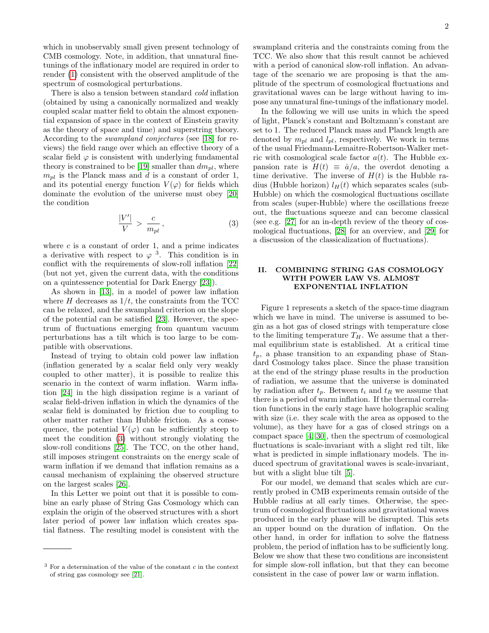2

which in unobservably small given present technology of CMB cosmology. Note, in addition, that unnatural finetunings of the inflationary model are required in order to render [\(1\)](#page-0-2) consistent with the observed amplitude of the spectrum of cosmological perturbations.

There is also a tension between standard cold inflation (obtained by using a canonically normalized and weakly coupled scalar matter field to obtain the almost exponential expansion of space in the context of Einstein gravity as the theory of space and time) and superstring theory. According to the swampland conjectures (see [\[18\]](#page-8-3) for reviews) the field range over which an effective theory of a scalar field  $\varphi$  is consistent with underlying fundamental theory is constrained to be [\[19\]](#page-8-4) smaller than  $dm_{pl}$ , where  $m_{pl}$  is the Planck mass and d is a constant of order 1, and its potential energy function  $V(\varphi)$  for fields which dominate the evolution of the universe must obey [\[20\]](#page-8-5) the condition

<span id="page-1-0"></span>
$$
\frac{|V'|}{V} > \frac{c}{m_{pl}}\,,\tag{3}
$$

where  $c$  is a constant of order 1, and a prime indicates a derivative with respect to  $\varphi$ <sup>3</sup>. This condition is in conflict with the requirements of slow-roll inflation [\[22\]](#page-8-6) (but not yet, given the current data, with the conditions on a quintessence potential for Dark Energy [\[23\]](#page-8-7)).

As shown in [\[13\]](#page-7-8), in a model of power law inflation where H decreases as  $1/t$ , the constraints from the TCC can be relaxed, and the swampland criterion on the slope of the potential can be satisfied [\[23\]](#page-8-7). However, the spectrum of fluctuations emerging from quantum vacuum perturbations has a tilt which is too large to be compatible with observations.

Instead of trying to obtain cold power law inflation (inflation generated by a scalar field only very weakly coupled to other matter), it is possible to realize this scenario in the context of warm inflation. Warm inflation [\[24\]](#page-8-8) in the high dissipation regime is a variant of scalar field-driven inflation in which the dynamics of the scalar field is dominated by friction due to coupling to other matter rather than Hubble friction. As a consequence, the potential  $V(\varphi)$  can be sufficiently steep to meet the condition [\(3\)](#page-1-0) without strongly violating the slow-roll conditions [\[25\]](#page-8-9). The TCC, on the other hand, still imposes stringent constraints on the energy scale of warm inflation if we demand that inflation remains as a causal mechanism of explaining the observed structure on the largest scales [\[26\]](#page-8-10).

In this Letter we point out that it is possible to combine an early phase of String Gas Cosmology which can explain the origin of the observed structures with a short later period of power law inflation which creates spatial flatness. The resulting model is consistent with the swampland criteria and the constraints coming from the TCC. We also show that this result cannot be achieved with a period of canonical slow-roll inflation. An advantage of the scenario we are proposing is that the amplitude of the spectrum of cosmological fluctuations and gravitational waves can be large without having to impose any unnatural fine-tunings of the inflationary model.

In the following we will use units in which the speed of light, Planck's constant and Boltzmann's constant are set to 1. The reduced Planck mass and Planck length are denoted by  $m_{pl}$  and  $l_{pl}$ , respectively. We work in terms of the usual Friedmann-Lemaitre-Robertson-Walker metric with cosmological scale factor  $a(t)$ . The Hubble expansion rate is  $H(t) \equiv \dot{a}/a$ , the overdot denoting a time derivative. The inverse of  $H(t)$  is the Hubble radius (Hubble horizon)  $l_H(t)$  which separates scales (sub-Hubble) on which the cosmological fluctuations oscillate from scales (super-Hubble) where the oscillations freeze out, the fluctuations squeeze and can become classical (see e.g. [\[27\]](#page-8-12) for an in-depth review of the theory of cosmological fluctuations, [\[28\]](#page-8-13) for an overview, and [\[29\]](#page-8-14) for a discussion of the classicalization of fluctuations).

### II. COMBINING STRING GAS COSMOLOGY WITH POWER LAW VS. ALMOST EXPONENTIAL INFLATION

Figure 1 represents a sketch of the space-time diagram which we have in mind. The universe is assumed to begin as a hot gas of closed strings with temperature close to the limiting temperature  $T_H$ . We assume that a thermal equilibrium state is established. At a critical time  $t_p$ , a phase transition to an expanding phase of Standard Cosmology takes place. Since the phase transition at the end of the stringy phase results in the production of radiation, we assume that the universe is dominated by radiation after  $t_p$ . Between  $t_i$  and  $t_R$  we assume that there is a period of warm inflation. If the thermal correlation functions in the early stage have holographic scaling with size (i.e. they scale with the area as opposed to the volume), as they have for a gas of closed strings on a compact space [\[4,](#page-6-3) [30\]](#page-8-15), then the spectrum of cosmological fluctuations is scale-invariant with a slight red tilt, like what is predicted in simple inflationary models. The induced spectrum of gravitational waves is scale-invariant, but with a slight blue tilt [\[5\]](#page-7-0).

For our model, we demand that scales which are currently probed in CMB experiments remain outside of the Hubble radius at all early times. Otherwise, the spectrum of cosmological fluctuations and gravitational waves produced in the early phase will be disrupted. This sets an upper bound on the duration of inflation. On the other hand, in order for inflation to solve the flatness problem, the period of inflation has to be sufficiently long. Below we show that these two conditions are inconsistent for simple slow-roll inflation, but that they can become consistent in the case of power law or warm inflation.

 $3$  For a determination of the value of the constant  $c$  in the context of string gas cosmology see [\[21\]](#page-8-11).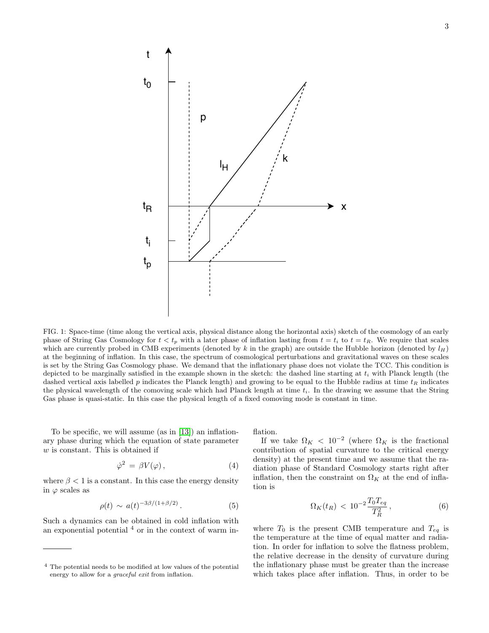

FIG. 1: Space-time (time along the vertical axis, physical distance along the horizontal axis) sketch of the cosmology of an early phase of String Gas Cosmology for  $t < t_p$  with a later phase of inflation lasting from  $t = t_i$  to  $t = t_R$ . We require that scales which are currently probed in CMB experiments (denoted by k in the graph) are outside the Hubble horizon (denoted by  $l_H$ ) at the beginning of inflation. In this case, the spectrum of cosmological perturbations and gravitational waves on these scales is set by the String Gas Cosmology phase. We demand that the inflationary phase does not violate the TCC. This condition is depicted to be marginally satisfied in the example shown in the sketch: the dashed line starting at  $t_i$  with Planck length (the dashed vertical axis labelled p indicates the Planck length) and growing to be equal to the Hubble radius at time  $t_R$  indicates the physical wavelength of the comoving scale which had Planck length at time  $t_i$ . In the drawing we assume that the String Gas phase is quasi-static. In this case the physical length of a fixed comoving mode is constant in time.

To be specific, we will assume (as in [\[13\]](#page-7-8)) an inflationary phase during which the equation of state parameter  $w$  is constant. This is obtained if

<span id="page-2-1"></span>
$$
\dot{\varphi}^2 = \beta V(\varphi) \,, \tag{4}
$$

where  $\beta < 1$  is a constant. In this case the energy density in  $\varphi$  scales as

$$
\rho(t) \sim a(t)^{-3\beta/(1+\beta/2)}.
$$
 (5)

Such a dynamics can be obtained in cold inflation with an exponential potential  $4$  or in the context of warm inflation.

If we take  $\Omega_K < 10^{-2}$  (where  $\Omega_K$  is the fractional contribution of spatial curvature to the critical energy density) at the present time and we assume that the radiation phase of Standard Cosmology starts right after inflation, then the constraint on  $\Omega_K$  at the end of inflation is

<span id="page-2-0"></span>
$$
\Omega_K(t_R) \, < \, 10^{-2} \frac{T_0 T_{eq}}{T_R^2} \,, \tag{6}
$$

where  $T_0$  is the present CMB temperature and  $T_{eq}$  is the temperature at the time of equal matter and radiation. In order for inflation to solve the flatness problem, the relative decrease in the density of curvature during the inflationary phase must be greater than the increase which takes place after inflation. Thus, in order to be

<sup>4</sup> The potential needs to be modified at low values of the potential energy to allow for a *graceful exit* from inflation.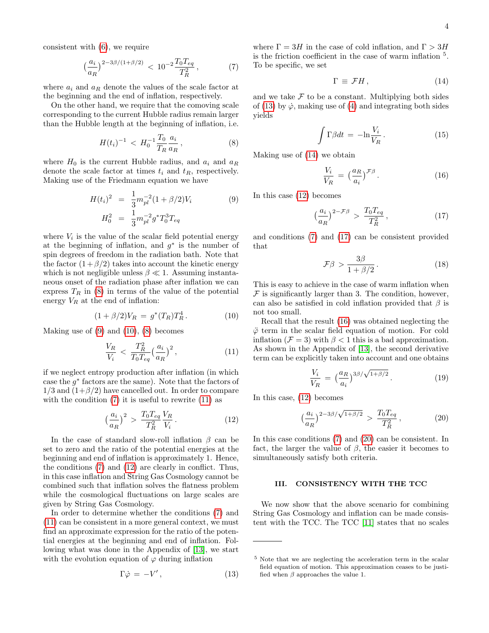consistent with [\(6\)](#page-2-0), we require

<span id="page-3-3"></span>
$$
\left(\frac{a_i}{a_R}\right)^{2-3\beta/(1+\beta/2)} < 10^{-2} \frac{T_0 T_{eq}}{T_R^2} \,,\tag{7}
$$

where  $a_i$  and  $a_R$  denote the values of the scale factor at the beginning and the end of inflation, respectively.

On the other hand, we require that the comoving scale corresponding to the current Hubble radius remain larger than the Hubble length at the beginning of inflation, i.e.

<span id="page-3-0"></span>
$$
H(t_i)^{-1} < H_0^{-1} \frac{T_0}{T_R} \frac{a_i}{a_R} \,, \tag{8}
$$

where  $H_0$  is the current Hubble radius, and  $a_i$  and  $a_R$ denote the scale factor at times  $t_i$  and  $t_R$ , respectively. Making use of the Friedmann equation we have

<span id="page-3-1"></span>
$$
H(t_i)^2 = \frac{1}{3} m_{pl}^{-2} (1 + \beta/2) V_i
$$
 (9)  

$$
H_0^2 = \frac{1}{3} m_{pl}^{-2} g^* T_0^3 T_{eq}
$$

where  $V_i$  is the value of the scalar field potential energy at the beginning of inflation, and  $g^*$  is the number of spin degrees of freedom in the radiation bath. Note that the factor  $(1+\beta/2)$  takes into account the kinetic energy which is not negligible unless  $\beta \ll 1$ . Assuming instantaneous onset of the radiation phase after inflation we can express  $T_R$  in [\(8\)](#page-3-0) in terms of the value of the potential energy  $V_R$  at the end of inflation:

<span id="page-3-2"></span>
$$
(1 + \beta/2)V_R = g^*(T_R)T_R^4.
$$
 (10)

Making use of  $(9)$  and  $(10)$ ,  $(8)$  becomes

<span id="page-3-4"></span>
$$
\frac{V_R}{V_i} < \frac{T_R^2}{T_0 T_{eq}} \left(\frac{a_i}{a_R}\right)^2,\tag{11}
$$

if we neglect entropy production after inflation (in which case the  $g^*$  factors are the same). Note that the factors of  $1/3$  and  $(1+\beta/2)$  have cancelled out. In order to compare with the condition  $(7)$  it is useful to rewrite  $(11)$  as

<span id="page-3-5"></span>
$$
\left(\frac{a_i}{a_R}\right)^2 > \frac{T_0 T_{eq}}{T_R^2} \frac{V_R}{V_i} \,. \tag{12}
$$

In the case of standard slow-roll inflation  $\beta$  can be set to zero and the ratio of the potential energies at the beginning and end of inflation is approximately 1. Hence, the conditions [\(7\)](#page-3-3) and [\(12\)](#page-3-5) are clearly in conflict. Thus, in this case inflation and String Gas Cosmology cannot be combined such that inflation solves the flatness problem while the cosmological fluctuations on large scales are given by String Gas Cosmology.

In order to determine whether the conditions [\(7\)](#page-3-3) and [\(11\)](#page-3-4) can be consistent in a more general context, we must find an approximate expression for the ratio of the potential energies at the beginning and end of inflation. Following what was done in the Appendix of [\[13\]](#page-7-8), we start with the evolution equation of  $\varphi$  during inflation

<span id="page-3-6"></span>
$$
\Gamma \dot{\varphi} = -V',\tag{13}
$$

where  $\Gamma = 3H$  in the case of cold inflation, and  $\Gamma > 3H$ is the friction coefficient in the case of warm inflation <sup>5</sup> . To be specific, we set

<span id="page-3-7"></span>
$$
\Gamma \equiv \mathcal{F}H\,,\tag{14}
$$

and we take  $\mathcal F$  to be a constant. Multiplying both sides of [\(13\)](#page-3-6) by  $\dot{\varphi}$ , making use of [\(4\)](#page-2-1) and integrating both sides yields

$$
\int \Gamma \beta dt = -\ln \frac{V_i}{V_R} \,. \tag{15}
$$

Making use of [\(14\)](#page-3-7) we obtain

<span id="page-3-9"></span>
$$
\frac{V_i}{V_R} = \left(\frac{a_R}{a_i}\right)^{\mathcal{F}\beta}.\tag{16}
$$

In this case [\(12\)](#page-3-5) becomes

<span id="page-3-8"></span>
$$
\left(\frac{a_i}{a_R}\right)^{2-\mathcal{F}\beta} > \frac{T_0 T_{eq}}{T_R^2} \,,\tag{17}
$$

and conditions [\(7\)](#page-3-3) and [\(17\)](#page-3-8) can be consistent provided that

$$
\mathcal{F}\beta > \frac{3\beta}{1 + \beta/2}.
$$
 (18)

This is easy to achieve in the case of warm inflation when  $F$  is significantly larger than 3. The condition, however, can also be satisfied in cold inflation provided that  $\beta$  is not too small.

Recall that the result [\(16\)](#page-3-9) was obtained neglecting the  $\ddot{\varphi}$  term in the scalar field equation of motion. For cold inflation ( $\mathcal{F} = 3$ ) with  $\beta < 1$  this is a bad approximation. As shown in the Appendix of [\[13\]](#page-7-8), the second derivative term can be explicitly taken into account and one obtains

$$
\frac{V_i}{V_R} = \left(\frac{a_R}{a_i}\right)^{3\beta/\sqrt{1+\beta/2}}.\tag{19}
$$

In this case, [\(12\)](#page-3-5) becomes

<span id="page-3-10"></span>
$$
\left(\frac{a_i}{a_R}\right)^{2-3\beta/\sqrt{1+\beta/2}} > \frac{T_0 T_{eq}}{T_R^2},
$$
\n(20)

In this case conditions [\(7\)](#page-3-3) and [\(20\)](#page-3-10) can be consistent. In fact, the larger the value of  $\beta$ , the easier it becomes to simultaneously satisfy both criteria.

# III. CONSISTENCY WITH THE TCC

We now show that the above scenario for combining String Gas Cosmology and inflation can be made consistent with the TCC. The TCC [\[11\]](#page-7-6) states that no scales

<sup>5</sup> Note that we are neglecting the acceleration term in the scalar field equation of motion. This approximation ceases to be justified when  $\beta$  approaches the value 1.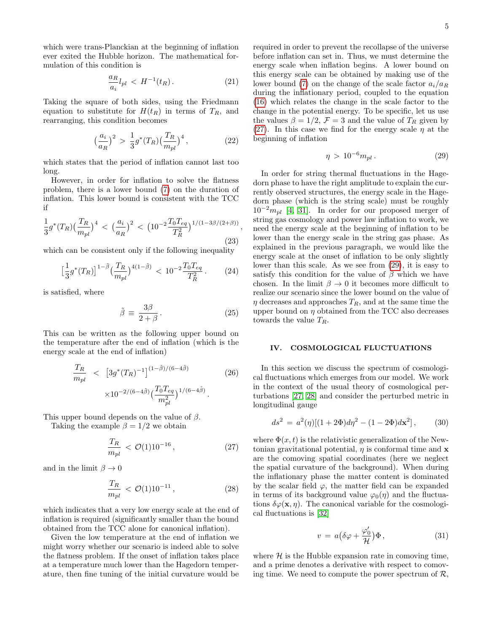which were trans-Planckian at the beginning of inflation ever exited the Hubble horizon. The mathematical formulation of this condition is

$$
\frac{a_R}{a_i} l_{pl} < H^{-1}(t_R). \tag{21}
$$

Taking the square of both sides, using the Friedmann equation to substitute for  $H(t_R)$  in terms of  $T_R$ , and rearranging, this condition becomes

$$
\left(\frac{a_i}{a_R}\right)^2 > \frac{1}{3}g^*(T_R)\left(\frac{T_R}{m_{pl}}\right)^4,\tag{22}
$$

which states that the period of inflation cannot last too long.

However, in order for inflation to solve the flatness problem, there is a lower bound [\(7\)](#page-3-3) on the duration of inflation. This lower bound is consistent with the TCC if

$$
\frac{1}{3}g^*(T_R)\left(\frac{T_R}{m_{pl}}\right)^4 < \left(\frac{a_i}{a_R}\right)^2 < \left(10^{-2}\frac{T_0T_{eq}}{T_R^2}\right)^{1/(1-3\beta/(2+\beta))},\tag{23}
$$

which can be consistent only if the following inequality

$$
\left[\frac{1}{3}g^*(T_R)\right]^{1-\tilde{\beta}}\left(\frac{T_R}{m_{pl}}\right)^{4(1-\tilde{\beta})} < 10^{-2}\frac{T_0T_{eq}}{T_R^2} \,. \tag{24}
$$

is satisfied, where

$$
\tilde{\beta} \equiv \frac{3\beta}{2+\beta} \,. \tag{25}
$$

This can be written as the following upper bound on the temperature after the end of inflation (which is the energy scale at the end of inflation)

$$
\frac{T_R}{m_{pl}} \quad < \quad \left[3g^*(T_R)^{-1}\right]^{(1-\tilde{\beta})/(6-4\tilde{\beta})} \tag{26}
$$
\n
$$
\times 10^{-2/(6-4\tilde{\beta})} \left(\frac{T_0 T_{eq}}{m_{pl}^2}\right)^{1/(6-4\tilde{\beta})}.
$$

This upper bound depends on the value of  $\beta$ .

Taking the example  $\beta = 1/2$  we obtain

<span id="page-4-0"></span>
$$
\frac{T_R}{m_{pl}} < \mathcal{O}(1) 10^{-16} \,, \tag{27}
$$

and in the limit  $\beta \to 0$ 

$$
\frac{T_R}{m_{pl}} < \mathcal{O}(1) 10^{-11} \,, \tag{28}
$$

which indicates that a very low energy scale at the end of inflation is required (significantly smaller than the bound obtained from the TCC alone for canonical inflation).

Given the low temperature at the end of inflation we might worry whether our scenario is indeed able to solve the flatness problem. If the onset of inflation takes place at a temperature much lower than the Hagedorn temperature, then fine tuning of the initial curvature would be

required in order to prevent the recollapse of the universe before inflation can set in. Thus, we must determine the energy scale when inflation begins. A lower bound on this energy scale can be obtained by making use of the lower bound [\(7\)](#page-3-3) on the change of the scale factor  $a_i/a_R$ during the inflationary period, coupled to the equation [\(16\)](#page-3-9) which relates the change in the scale factor to the change in the potential energy. To be specific, let us use the values  $\beta = 1/2$ ,  $\mathcal{F} = 3$  and the value of  $T_R$  given by [\(27\)](#page-4-0). In this case we find for the energy scale  $\eta$  at the beginning of inflation

<span id="page-4-1"></span>
$$
\eta > 10^{-6} m_{pl} \,. \tag{29}
$$

In order for string thermal fluctuations in the Hagedorn phase to have the right amplitude to explain the currently observed structures, the energy scale in the Hagedorn phase (which is the string scale) must be roughly  $10^{-2}m_{pl}$  [\[4,](#page-6-3) [31\]](#page-8-16). In order for our proposed merger of string gas cosmology and power law inflation to work, we need the energy scale at the beginning of inflation to be lower than the energy scale in the string gas phase. As explained in the previous paragraph, we would like the energy scale at the onset of inflation to be only slightly lower than this scale. As we see from [\(29\)](#page-4-1), it is easy to satisfy this condition for the value of  $\beta$  which we have chosen. In the limit  $\beta \to 0$  it becomes more difficult to realize our scenario since the lower bound on the value of  $\eta$  decreases and approaches  $T_R$ , and at the same time the upper bound on  $\eta$  obtained from the TCC also decreases towards the value  $T_R$ .

### IV. COSMOLOGICAL FLUCTUATIONS

In this section we discuss the spectrum of cosmological fluctuations which emerges from our model. We work in the context of the usual theory of cosmological perturbations [\[27,](#page-8-12) [28\]](#page-8-13) and consider the perturbed metric in longitudinal gauge

$$
ds^{2} = a^{2}(\eta)[(1+2\Phi)d\eta^{2} - (1-2\Phi)d\mathbf{x}^{2}], \qquad (30)
$$

where  $\Phi(x, t)$  is the relativistic generalization of the Newtonian gravitational potential,  $\eta$  is conformal time and  $\bf{x}$ are the comoving spatial coordinates (here we neglect the spatial curvature of the background). When during the inflationary phase the matter content is dominated by the scalar field  $\varphi$ , the matter field can be expanded in terms of its background value  $\varphi_0(\eta)$  and the fluctuations  $\delta\varphi(\mathbf{x},\eta)$ . The canonical variable for the cosmological fluctuations is [\[32\]](#page-8-17)

$$
v = a\left(\delta\varphi + \frac{\varphi_0'}{\mathcal{H}}\right)\Phi\,,\tag{31}
$$

where  $\mathcal H$  is the Hubble expansion rate in comoving time, and a prime denotes a derivative with respect to comoving time. We need to compute the power spectrum of  $\mathcal{R}$ ,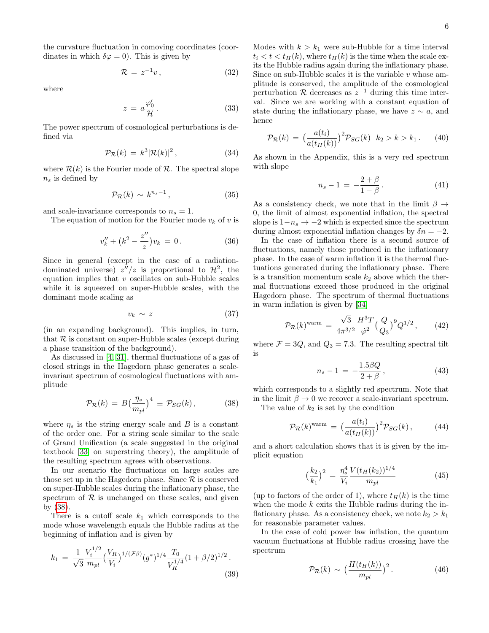the curvature fluctuation in comoving coordinates (coordinates in which  $\delta\varphi = 0$ ). This is given by

$$
\mathcal{R} = z^{-1}v,\tag{32}
$$

where

$$
z = a \frac{\varphi_0'}{\mathcal{H}}.
$$
 (33)

The power spectrum of cosmological perturbations is defined via

$$
\mathcal{P}_{\mathcal{R}}(k) = k^3 |\mathcal{R}(k)|^2, \qquad (34)
$$

where  $\mathcal{R}(k)$  is the Fourier mode of  $\mathcal{R}$ . The spectral slope  $n<sub>s</sub>$  is defined by

$$
\mathcal{P}_{\mathcal{R}}(k) \sim k^{n_s - 1},\tag{35}
$$

and scale-invariance corresponds to  $n_s = 1$ .

The equation of motion for the Fourier mode  $v_k$  of v is

$$
v_k'' + (k^2 - \frac{z''}{z})v_k = 0.
$$
 (36)

Since in general (except in the case of a radiationdominated universe)  $z''/z$  is proportional to  $\mathcal{H}^2$ , the equation implies that  $v$  oscillates on sub-Hubble scales while it is squeezed on super-Hubble scales, with the dominant mode scaling as

$$
v_k \sim z \tag{37}
$$

(in an expanding background). This implies, in turn, that  $R$  is constant on super-Hubble scales (except during a phase transition of the background).

As discussed in [\[4,](#page-6-3) [31\]](#page-8-16), thermal fluctuations of a gas of closed strings in the Hagedorn phase generates a scaleinvariant spectrum of cosmological fluctuations with amplitude

<span id="page-5-0"></span>
$$
\mathcal{P}_{\mathcal{R}}(k) = B\left(\frac{\eta_s}{m_{pl}}\right)^4 \equiv \mathcal{P}_{SG}(k) \,, \tag{38}
$$

where  $\eta_s$  is the string energy scale and B is a constant of the order one. For a string scale similar to the scale of Grand Unification (a scale suggested in the original textbook [\[33\]](#page-8-18) on superstring theory), the amplitude of the resulting spectrum agrees with observations.

In our scenario the fluctuations on large scales are those set up in the Hagedorn phase. Since  $R$  is conserved on super-Hubble scales during the inflationary phase, the spectrum of  $\mathcal R$  is unchanged on these scales, and given by [\(38\)](#page-5-0).

There is a cutoff scale  $k_1$  which corresponds to the mode whose wavelength equals the Hubble radius at the beginning of inflation and is given by

$$
k_1 = \frac{1}{\sqrt{3}} \frac{V_i^{1/2}}{m_{pl}} \left(\frac{V_R}{V_i}\right)^{1/(\mathcal{F}\beta)} (g^*)^{1/4} \frac{T_0}{V_R^{1/4}} (1+\beta/2)^{1/2}.
$$
\n(39)

Modes with  $k > k_1$  were sub-Hubble for a time interval  $t_i < t < t_H(k)$ , where  $t_H(k)$  is the time when the scale exits the Hubble radius again during the inflationary phase. Since on sub-Hubble scales it is the variable  $v$  whose amplitude is conserved, the amplitude of the cosmological perturbation  $\mathcal R$  decreases as  $z^{-1}$  during this time interval. Since we are working with a constant equation of state during the inflationary phase, we have  $z \sim a$ , and hence

<span id="page-5-2"></span>
$$
\mathcal{P}_{\mathcal{R}}(k) = \left(\frac{a(t_i)}{a(t_H(k))}\right)^2 \mathcal{P}_{SG}(k) \quad k_2 > k > k_1. \tag{40}
$$

As shown in the Appendix, this is a very red spectrum with slope

<span id="page-5-3"></span>
$$
n_s - 1 = -\frac{2+\beta}{1-\beta}.
$$
 (41)

As a consistency check, we note that in the limit  $\beta \rightarrow$ 0, the limit of almost exponential inflation, the spectral slope is  $1-n_s \to -2$  which is expected since the spectrum during almost exponential inflation changes by  $\delta n = -2$ .

In the case of inflation there is a second source of fluctuations, namely those produced in the inflationary phase. In the case of warm inflation it is the thermal fluctuations generated during the inflationary phase. There is a transition momentum scale  $k_2$  above which the thermal fluctuations exceed those produced in the original Hagedorn phase. The spectrum of thermal fluctuations in warm inflation is given by [\[34\]](#page-8-19)

$$
\mathcal{P}_{\mathcal{R}}(k)^{\text{warm}} = \frac{\sqrt{3}}{4\pi^{3/2}} \frac{H^3 T}{\dot{\varphi}^2} \left(\frac{Q}{Q_3}\right)^9 Q^{1/2}, \qquad (42)
$$

where  $\mathcal{F} = 3Q$ , and  $Q_3 = 7.3$ . The resulting spectral tilt is

$$
n_s - 1 = -\frac{1.5\beta Q}{2 + \beta},
$$
\n(43)

which corresponds to a slightly red spectrum. Note that in the limit  $\beta \to 0$  we recover a scale-invariant spectrum.

The value of  $k_2$  is set by the condition

$$
\mathcal{P}_{\mathcal{R}}(k)^{\text{warm}} = \left(\frac{a(t_i)}{a(t_H(k))}\right)^2 \mathcal{P}_{SG}(k), \tag{44}
$$

and a short calculation shows that it is given by the implicit equation

$$
\left(\frac{k_2}{k_1}\right)^2 = \frac{\eta_s^4}{V_i} \frac{V(t_H(k_2))^{1/4}}{m_{pl}}\tag{45}
$$

(up to factors of the order of 1), where  $t_H(k)$  is the time when the mode  $k$  exits the Hubble radius during the inflationary phase. As a consistency check, we note  $k_2 > k_1$ for reasonable parameter values.

In the case of cold power law inflation, the quantum vacuum fluctuations at Hubble radius crossing have the spectrum

<span id="page-5-1"></span>
$$
\mathcal{P}_{\mathcal{R}}(k) \sim \left(\frac{H(t_H(k))}{m_{pl}}\right)^2.
$$
 (46)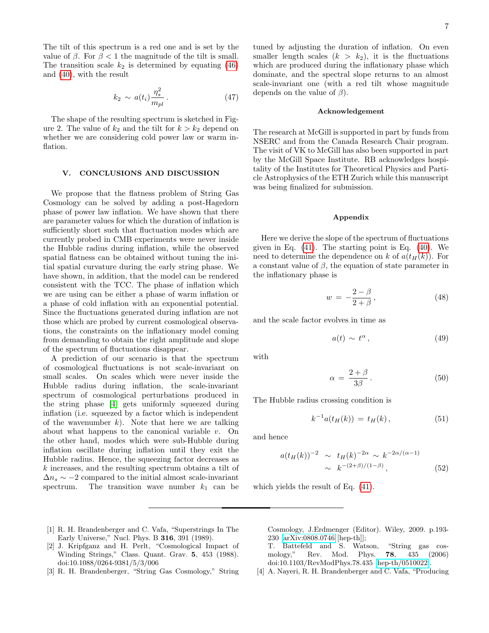The tilt of this spectrum is a red one and is set by the value of β. For  $\beta$  < 1 the magnitude of the tilt is small. The transition scale  $k_2$  is determined by equating [\(46\)](#page-5-1) and [\(40\)](#page-5-2), with the result

$$
k_2 \sim a(t_i) \frac{\eta_s^2}{m_{pl}} \,. \tag{47}
$$

The shape of the resulting spectrum is sketched in Figure 2. The value of  $k_2$  and the tilt for  $k > k_2$  depend on whether we are considering cold power law or warm inflation.

#### V. CONCLUSIONS AND DISCUSSION

We propose that the flatness problem of String Gas Cosmology can be solved by adding a post-Hagedorn phase of power law inflation. We have shown that there are parameter values for which the duration of inflation is sufficiently short such that fluctuation modes which are currently probed in CMB experiments were never inside the Hubble radius during inflation, while the observed spatial flatness can be obtained without tuning the initial spatial curvature during the early string phase. We have shown, in addition, that the model can be rendered consistent with the TCC. The phase of inflation which we are using can be either a phase of warm inflation or a phase of cold inflation with an exponential potential. Since the fluctuations generated during inflation are not those which are probed by current cosmological observations, the constraints on the inflationary model coming from demanding to obtain the right amplitude and slope of the spectrum of fluctuations disappear.

A prediction of our scenario is that the spectrum of cosmological fluctuations is not scale-invariant on small scales. On scales which were never inside the Hubble radius during inflation, the scale-invariant spectrum of cosmological perturbations produced in the string phase [\[4\]](#page-6-3) gets uniformly squeezed during inflation (i.e. squeezed by a factor which is independent of the wavenumber  $k$ ). Note that here we are talking about what happens to the canonical variable  $v$ . On the other hand, modes which were sub-Hubble during inflation oscillate during inflation until they exit the Hubble radius. Hence, the squeezing factor decreases as k increases, and the resulting spectrum obtains a tilt of  $\Delta n_s \sim -2$  compared to the initial almost scale-invariant spectrum. The transition wave number  $k_1$  can be

tuned by adjusting the duration of inflation. On even smaller length scales  $(k > k_2)$ , it is the fluctuations which are produced during the inflationary phase which dominate, and the spectral slope returns to an almost scale-invariant one (with a red tilt whose magnitude depends on the value of  $\beta$ ).

#### Acknowledgement

The research at McGill is supported in part by funds from NSERC and from the Canada Research Chair program. The visit of VK to McGill has also been supported in part by the McGill Space Institute. RB acknowledges hospitality of the Institutes for Theoretical Physics and Particle Astrophysics of the ETH Zurich while this manuscript was being finalized for submission.

#### Appendix

Here we derive the slope of the spectrum of fluctuations given in Eq.  $(41)$ . The starting point is Eq.  $(40)$ . We need to determine the dependence on k of  $a(t_H(k))$ . For a constant value of  $\beta$ , the equation of state parameter in the inflationary phase is

$$
w = -\frac{2-\beta}{2+\beta},\tag{48}
$$

and the scale factor evolves in time as

$$
a(t) \sim t^{\alpha}, \tag{49}
$$

with

$$
\alpha = \frac{2+\beta}{3\beta}.
$$
\n(50)

The Hubble radius crossing condition is

$$
k^{-1}a(t_H(k)) = t_H(k), \t\t(51)
$$

and hence

$$
a(t_H(k))^{-2} \sim t_H(k)^{-2\alpha} \sim k^{-2\alpha/(\alpha-1)}
$$
  
  $\sim k^{-(2+\beta)/(1-\beta)},$  (52)

which yields the result of Eq. [\(41\)](#page-5-3).

- <span id="page-6-0"></span>[1] R. H. Brandenberger and C. Vafa, "Superstrings In The Early Universe," Nucl. Phys. B 316, 391 (1989).
- <span id="page-6-1"></span>[2] J. Kripfganz and H. Perlt, "Cosmological Impact of Winding Strings," Class. Quant. Grav. 5, 453 (1988). doi:10.1088/0264-9381/5/3/006
- <span id="page-6-2"></span>[3] R. H. Brandenberger, "String Gas Cosmology," String

Cosmology, J.Erdmenger (Editor). Wiley, 2009. p.193- 230 [\[arXiv:0808.0746](http://arxiv.org/abs/0808.0746) [hep-th]];

T. Battefeld and S. Watson, "String gas cosmology," Rev. Mod. Phys. 78, 435 (2006) doi:10.1103/RevModPhys.78.435 [\[hep-th/0510022\]](http://arxiv.org/abs/hep-th/0510022).

<span id="page-6-3"></span>[4] A. Nayeri, R. H. Brandenberger and C. Vafa, "Producing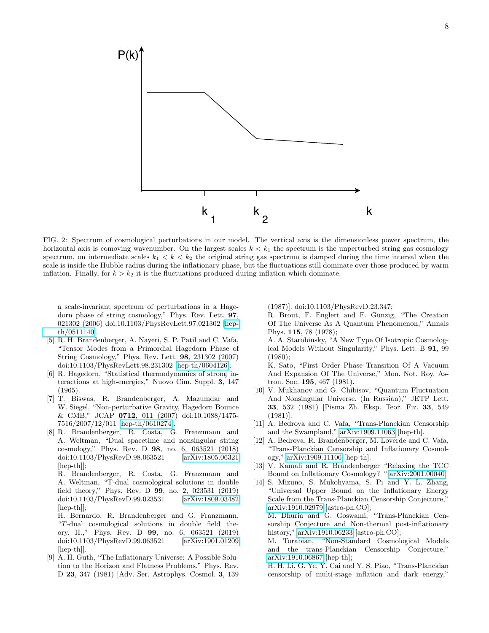

FIG. 2: Spectrum of cosmological perturbations in our model. The vertical axis is the dimensionless power spectrum, the horizontal axis is comoving wavenumber. On the largest scales  $k < k_1$  the spectrum is the unperturbed string gas cosmology spectrum, on intermediate scales  $k_1 < k < k_2$  the original string gas spectrum is damped during the time interval when the scale is inside the Hubble radius during the inflationary phase, but the fluctuations still dominate over those produced by warm inflation. Finally, for  $k > k_2$  it is the fluctuations produced during inflation which dominate.

a scale-invariant spectrum of perturbations in a Hagedorn phase of string cosmology," Phys. Rev. Lett. 97, 021302 (2006) doi:10.1103/PhysRevLett.97.021302 [\[hep](http://arxiv.org/abs/hep-th/0511140)[th/0511140\]](http://arxiv.org/abs/hep-th/0511140).

- <span id="page-7-0"></span>[5] R. H. Brandenberger, A. Nayeri, S. P. Patil and C. Vafa, "Tensor Modes from a Primordial Hagedorn Phase of String Cosmology," Phys. Rev. Lett. 98, 231302 (2007) doi:10.1103/PhysRevLett.98.231302 [\[hep-th/0604126\]](http://arxiv.org/abs/hep-th/0604126).
- <span id="page-7-1"></span>[6] R. Hagedorn, "Statistical thermodynamics of strong interactions at high-energies," Nuovo Cim. Suppl. 3, 147 (1965).
- <span id="page-7-4"></span>[7] T. Biswas, R. Brandenberger, A. Mazumdar and W. Siegel, "Non-perturbative Gravity, Hagedorn Bounce & CMB," JCAP 0712, 011 (2007) doi:10.1088/1475- 7516/2007/12/011 [\[hep-th/0610274\]](http://arxiv.org/abs/hep-th/0610274).
- <span id="page-7-5"></span>[8] R. Brandenberger, R. Costa, G. Franzmann and A. Weltman, "Dual spacetime and nonsingular string cosmology," Phys. Rev. D 98, no. 6, 063521 (2018) doi:10.1103/PhysRevD.98.063521 [\[arXiv:1805.06321](http://arxiv.org/abs/1805.06321) [hep-th]];

R. Brandenberger, R. Costa, G. Franzmann and A. Weltman, "T-dual cosmological solutions in double field theory," Phys. Rev. D 99, no. 2, 023531 (2019) doi:10.1103/PhysRevD.99.023531 [\[arXiv:1809.03482](http://arxiv.org/abs/1809.03482) [hep-th]];

H. Bernardo, R. Brandenberger and G. Franzmann, "T-dual cosmological solutions in double field theory. II.," Phys. Rev. D 99, no. 6, 063521 (2019) doi:10.1103/PhysRevD.99.063521 [\[arXiv:1901.01209](http://arxiv.org/abs/1901.01209) [hep-th]].

<span id="page-7-2"></span>[9] A. H. Guth, "The Inflationary Universe: A Possible Solution to the Horizon and Flatness Problems," Phys. Rev. D 23, 347 (1981) [Adv. Ser. Astrophys. Cosmol. 3, 139 (1987)]. doi:10.1103/PhysRevD.23.347;

R. Brout, F. Englert and E. Gunzig, "The Creation Of The Universe As A Quantum Phenomenon," Annals Phys. 115, 78 (1978);

A. A. Starobinsky, "A New Type Of Isotropic Cosmological Models Without Singularity," Phys. Lett. B 91, 99 (1980);

K. Sato, "First Order Phase Transition Of A Vacuum And Expansion Of The Universe," Mon. Not. Roy. Astron. Soc. 195, 467 (1981).

- <span id="page-7-3"></span>[10] V. Mukhanov and G. Chibisov, "Quantum Fluctuation And Nonsingular Universe. (In Russian)," JETP Lett. 33, 532 (1981) [Pisma Zh. Eksp. Teor. Fiz. 33, 549 (1981)].
- <span id="page-7-6"></span>[11] A. Bedroya and C. Vafa, "Trans-Planckian Censorship and the Swampland," [arXiv:1909.11063](http://arxiv.org/abs/1909.11063) [hep-th].
- <span id="page-7-7"></span>[12] A. Bedroya, R. Brandenberger, M. Loverde and C. Vafa, "Trans-Planckian Censorship and Inflationary Cosmology," [arXiv:1909.11106](http://arxiv.org/abs/1909.11106) [hep-th].
- <span id="page-7-8"></span>[13] V. Kamali and R. Brandenberger "Relaxing the TCC Bound on Inflationary Cosmology? " [arXiv:2001.00040.](http://arxiv.org/abs/2001.00040)
- <span id="page-7-9"></span>[14] S. Mizuno, S. Mukohyama, S. Pi and Y. L. Zhang, "Universal Upper Bound on the Inflationary Energy Scale from the Trans-Planckian Censorship Conjecture," [arXiv:1910.02979](http://arxiv.org/abs/1910.02979) [astro-ph.CO]; M. Dhuria and G. Goswami, "Trans-Planckian Cen-

sorship Conjecture and Non-thermal post-inflationary history," [arXiv:1910.06233](http://arxiv.org/abs/1910.06233) [astro-ph.CO];

M. Torabian, "Non-Standard Cosmological Models and the trans-Planckian Censorship Conjecture," [arXiv:1910.06867](http://arxiv.org/abs/1910.06867) [hep-th];

H. H. Li, G. Ye, Y. Cai and Y. S. Piao, "Trans-Planckian censorship of multi-stage inflation and dark energy,"